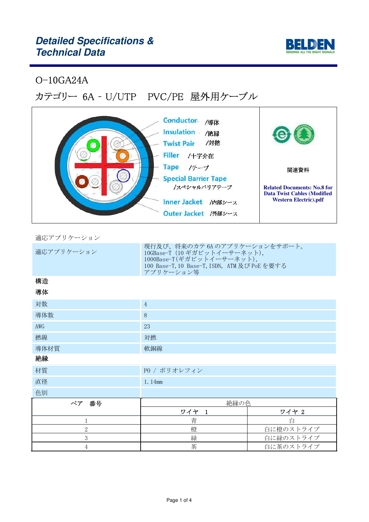

## O-10GA24A

# カテゴリー 6A – U/UTP PVC/PE 屋外用ケーブル

| <b>Conductor</b><br>/導体<br><b>Insulation</b><br>/絶縁<br>/対燃<br><b>Twist Pair</b><br><b>Filler</b><br>/十字介在 |                                                                          |
|-----------------------------------------------------------------------------------------------------------|--------------------------------------------------------------------------|
| <b>Tape</b><br>/テープ                                                                                       | 関連資料                                                                     |
| <b>Special Barrier Tape</b>                                                                               |                                                                          |
| /スペシャルバリアテープ                                                                                              | <b>Related Documents: No.8 for</b><br><b>Data Twist Cables (Modified</b> |
| <b>Inner Jacket</b><br>/内部シース                                                                             | <b>Western Electric).pdf</b>                                             |
| Outer Jacket /外部シース                                                                                       |                                                                          |

適応アプリケーション

| 適応アプリケーション     | 現行及び、将来のカテ 6A のアプリケーションをサポート。<br>10GBase-T (10 ギガビットイーサーネット),<br>1000Base-T(ギガビットイーサーネット),<br>100 Base-T, 10 Base-T, ISDN, ATM 及び PoE を要する<br>アプリケーション等 |           |
|----------------|---------------------------------------------------------------------------------------------------------------------------------------------------------|-----------|
| 構造             |                                                                                                                                                         |           |
| 導体             |                                                                                                                                                         |           |
| 対数             | $\overline{4}$                                                                                                                                          |           |
| 導体数            | 8                                                                                                                                                       |           |
| AWG            | 23                                                                                                                                                      |           |
| 撚線             | 対撚                                                                                                                                                      |           |
| 導体材質           | 軟銅線                                                                                                                                                     |           |
| 絶縁             |                                                                                                                                                         |           |
| 材質             | PO / ポリオレフィン                                                                                                                                            |           |
| 直径             | 1.14mm                                                                                                                                                  |           |
| 色別             |                                                                                                                                                         |           |
| ペア<br>番号       | 絶縁の色                                                                                                                                                    |           |
|                | ワイヤ 1                                                                                                                                                   | ワイヤ 2     |
| 1              | 青                                                                                                                                                       | 白         |
| $\overline{2}$ | 橙                                                                                                                                                       | 白に橙のストライプ |
| 3              | 緑                                                                                                                                                       | 白に緑のストライプ |
| 4              | 茶                                                                                                                                                       | 白に茶のストライプ |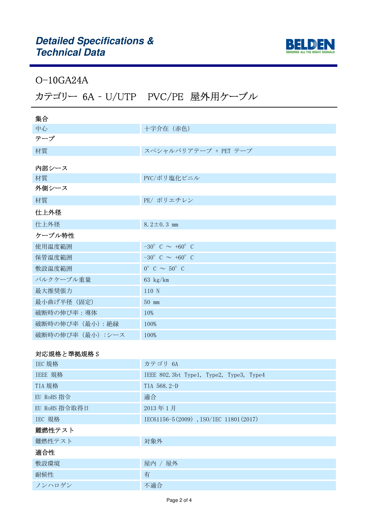

## O-10GA24A

# カテゴリー 6A – U/UTP PVC/PE 屋外用ケーブル

| 集合                |                                         |
|-------------------|-----------------------------------------|
| 中心                | 十字介在 (赤色)                               |
| テープ               |                                         |
| 材質                | スペシャルバリアテープ + PET テープ                   |
| 内部シース             |                                         |
| 材質                | PVC/ポリ塩化ビニル                             |
| 外側シース             |                                         |
| 材質                | PE/ ポリエチレン                              |
| 仕上外径              |                                         |
| 仕上外径              | 8.2 $\pm$ 0.3 mm                        |
| ケーブル特性            |                                         |
| 使用温度範囲            | $-30^{\circ}$ C $\sim +60^{\circ}$ C    |
| 保管温度範囲            | $-30^{\circ}$ C $\sim$ +60 $^{\circ}$ C |
| 敷設温度範囲            | $0^{\circ}$ C $\sim$ 50° C              |
| バルクケーブル重量         | 63 $\text{kg/km}$                       |
| 最大推奨張力            | 110 N                                   |
| 最小曲げ半径 (固定)       | 50 mm                                   |
| 破断時の伸び率:導体        | 10%                                     |
| 破断時の伸び率 (最小): 絶縁  | 100%                                    |
| 破断時の伸び率 (最小) :シース | 100%                                    |

### 対応規格と準拠規格 S

| カテゴリ 6A                                 |
|-----------------------------------------|
| IEEE 802.3bt Type1, Type2, Type3, Type4 |
| TIA 568.2-D                             |
| 適合                                      |
| 2013年1月                                 |
| IEC61156-5(2009), ISO/IEC 11801(2017)   |
|                                         |
| 対象外                                     |
|                                         |

#### 適合性

| ᄤᄖᄔ    |          |
|--------|----------|
| 敷設環境   | 屋内<br>屋外 |
| 耐候性    | 有        |
| ノンハロゲン | 不適合      |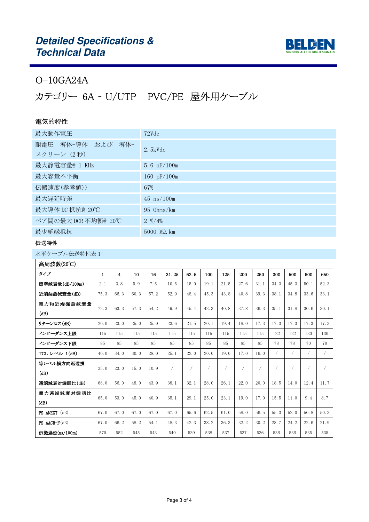

## O-10GA24A

# カテゴリー 6A – U/UTP PVC/PE 屋外用ケーブル

## 電気的特性

| 最大動作電圧                          | 72Vdc                        |
|---------------------------------|------------------------------|
| 耐電圧 導体-導体 および 導体-<br>スクリーン (2秒) | $2.5$ kVd $c$                |
| 最大静電容量@ 1 KHz                   | 5.6 $nF/100m$                |
| 最大容量不平衡                         | 160 $pF/100m$                |
| 伝搬速度(参考値))                      | 67%                          |
| 最大遅延時差                          | $45 \text{ ns}/100 \text{m}$ |
| 最大導体 DC 抵抗@ 20℃                 | $95$ Ohms/km                 |
| ペア間の最大 DCR 不均衡@ 20℃             | $2\frac{\frac{9}{2}}{4\%}$   |
| 最少絶縁抵抗                          | 5000 MQ. km                  |

#### 伝送特性

| 高周波数(20℃)           |              |      |      |      |       |                |      |      |      |                |            |                |                |                |
|---------------------|--------------|------|------|------|-------|----------------|------|------|------|----------------|------------|----------------|----------------|----------------|
| タイプ                 | $\mathbf{1}$ | 4    | 10   | 16   | 31.25 | 62.5           | 100  | 125  | 200  | 250            | 300        | 500            | 600            | 650            |
| 標準減衰量(dB/100m)      | 2.1          | 3.8  | 5.9  | 7.5  | 10.5  | 15.0           | 19.1 | 21.5 | 27.6 | 31.1           | 34.3       | 45.3           | 50.1           | 52.3           |
| 近端漏話減衰量(dB)         | 75.3         | 66.3 | 60.3 | 57.2 | 52.9  | 48.4           | 45.3 | 43.8 | 40.8 | 39.3           | 38.1       | 34.8           | 33.6           | 33.1           |
| 電力和近端漏話減衰量          | 72.3         | 63.3 | 57.3 | 54.2 | 49.9  | 45.4           | 42.3 | 40.8 | 37.8 | 36.3           | 35.1       | 31.8           | 30.6           | 30.1           |
| (dB)                |              |      |      |      |       |                |      |      |      |                |            |                |                |                |
| リターンロス(dB)          | 20.0         | 23.0 | 25.0 | 25.0 | 23.6  | 21.5           | 20.1 | 19.4 | 18.0 | 17.3           | 17.3       | 17.3           | 17.3           | 17.3           |
| インピーダンス上限           | 115          | 115  | 115  | 115  | 115   | 115            | 115  | 115  | 115  | 115            | 122        | 122            | 130            | 130            |
| インピーダンス下限           | 85           | 85   | 85   | 85   | 85    | 85             | 85   | 85   | 85   | 85             | 78         | 78             | 70             | 70             |
| TCL レベル 1(dB)       | 40.0         | 34.0 | 30.0 | 28.0 | 25.1  | 22.0           | 20.0 | 19.0 | 17.0 | 16.0           | $\sqrt{2}$ | $\sqrt{2}$     | 7              | $\sqrt{2}$     |
| 等レベル横方向返還損          | 35.0         | 23.0 | 15.0 | 10.9 | /     | $\overline{1}$ | 7    |      | 7    | $\!mathcal{I}$ | $\!\! /$   | $\overline{1}$ | $\overline{ }$ | $\overline{1}$ |
| (dB)                |              |      |      |      |       |                |      |      |      |                |            |                |                |                |
| 遠端減衰対漏話比(dB)        | 68.0         | 56.0 | 48.0 | 43.9 | 38.1  | 32.1           | 28.0 | 26.1 | 22.0 | 20.0           | 18.5       | 14.0           | 12.4           | 11.7           |
| 電力遠端減衰対漏話比          | 65.0         | 53.0 | 45.0 | 40.9 | 35.1  | 29.1           | 25.0 | 23.1 | 19.0 | 17.0           | 15.5       | 11.0           | 9.4            | 8.7            |
| (dB)                |              |      |      |      |       |                |      |      |      |                |            |                |                |                |
| PS ANEXT (dB)       | 67.0         | 67.0 | 67.0 | 67.0 | 67.0  | 65.6           | 62.5 | 61.0 | 58.0 | 56.5           | 55.3       | 52.0           | 50.8           | 50.3           |
| $PS$ AACR- $F$ (dB) | 67.0         | 66.2 | 58.2 | 54.1 | 48.3  | 42.3           | 38.2 | 36.3 | 32.2 | 30.2           | 28.7       | 24.2           | 22.6           | 21.9           |
| 伝搬遅延(ns/100m)       | 570          | 552  | 545  | 543  | 540   | 539            | 538  | 537  | 537  | 536            | 536        | 536            | 535            | 535            |